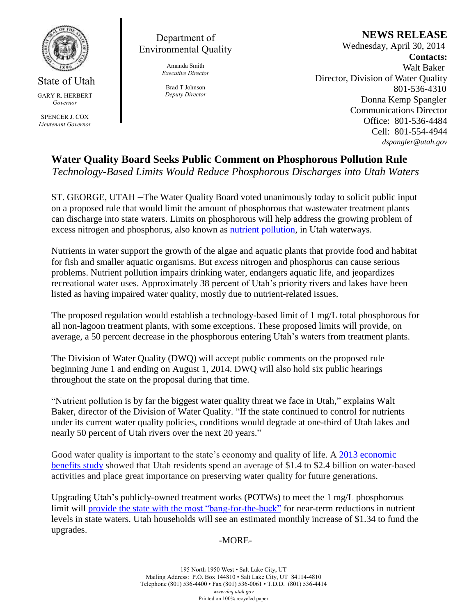

State of Utah GARY R. HERBERT *Governor*

SPENCER J. COX *Lieutenant Governor*

Department of Environmental Quality

> Amanda Smith *Executive Director*

Brad T Johnson *Deputy Director* **NEWS RELEASE**

 Wednesday, April 30, 2014 **Contacts:** Walt Baker Director, Division of Water Quality 801-536-4310 Donna Kemp Spangler Communications Director Office: 801-536-4484 Cell: 801-554-4944 *dspangler@utah.gov*

**Water Quality Board Seeks Public Comment on Phosphorous Pollution Rule** *Technology-Based Limits Would Reduce Phosphorous Discharges into Utah Waters*

ST. GEORGE, UTAH –The Water Quality Board voted unanimously today to solicit public input on a proposed rule that would limit the amount of phosphorous that wastewater treatment plants can discharge into state waters. Limits on phosphorous will help address the growing problem of excess nitrogen and phosphorus, also known as **nutrient pollution**, in Utah waterways.

Nutrients in water support the growth of the algae and aquatic plants that provide food and habitat for fish and smaller aquatic organisms. But *excess* nitrogen and phosphorus can cause serious problems. Nutrient pollution impairs drinking water, endangers aquatic life, and jeopardizes recreational water uses. Approximately 38 percent of Utah's priority rivers and lakes have been listed as having impaired water quality, mostly due to nutrient-related issues.

The proposed regulation would establish a technology-based limit of 1 mg/L total phosphorous for all non-lagoon treatment plants, with some exceptions. These proposed limits will provide, on average, a 50 percent decrease in the phosphorous entering Utah's waters from treatment plants.

The Division of Water Quality (DWQ) will accept public comments on the proposed rule beginning June 1 and ending on August 1, 2014. DWQ will also hold six public hearings throughout the state on the proposal during that time.

"Nutrient pollution is by far the biggest water quality threat we face in Utah," explains Walt Baker, director of the Division of Water Quality. "If the state continued to control for nutrients under its current water quality policies, conditions would degrade at one-third of Utah lakes and nearly 50 percent of Utah rivers over the next 20 years."

Good water quality is important to the state's economy and quality of life. A 2013 economic benefits study showed that Utah residents spend an average of \$1.4 to \$2.4 billion on water-based activities and place great importance on preserving water quality for future generations.

Upgrading Utah's publicly-owned treatment works (POTWs) to meet the 1 mg/L phosphorous limit will provide the state with the most "bang-for-the-buck" for near-term reductions in nutrient levels in state waters. Utah households will see an estimated monthly increase of \$1.34 to fund the upgrades.

## -MORE-

195 North 1950 West • Salt Lake City, UT Mailing Address: P.O. Box 144810 • Salt Lake City, UT 84114-4810 Telephone (801) 536-4400 • Fax (801) 536-0061 • T.D.D. (801) 536-4414 *www.deq.utah.gov* Printed on 100% recycled paper